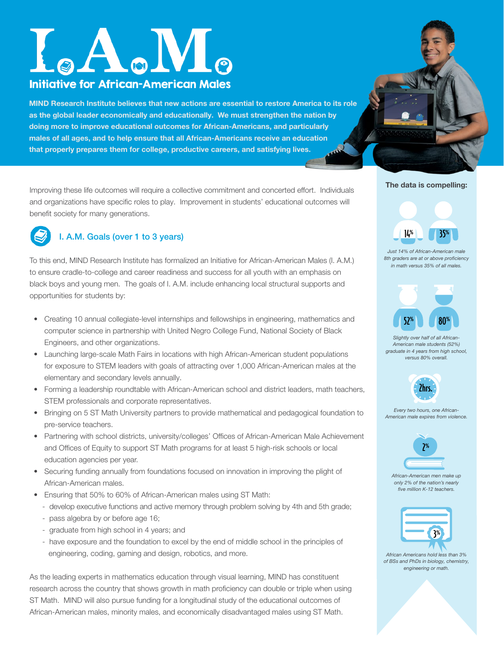# $_{\circ}A_{\circ}M_{\circ}$ Initiative for African-American Males

MIND Research Institute believes that new actions are essential to restore America to its role as the global leader economically and educationally. We must strengthen the nation by doing more to improve educational outcomes for African-Americans, and particularly males of all ages, and to help ensure that all African-Americans receive an education that properly prepares them for college, productive careers, and satisfying lives.

Improving these life outcomes will require a collective commitment and concerted effort. Individuals and organizations have specific roles to play. Improvement in students' educational outcomes will benefit society for many generations.



### I. A.M. Goals (over 1 to 3 years)

To this end, MIND Research Institute has formalized an Initiative for African-American Males (I. A.M.) to ensure cradle-to-college and career readiness and success for all youth with an emphasis on black boys and young men. The goals of I. A.M. include enhancing local structural supports and opportunities for students by:

- Creating 10 annual collegiate-level internships and fellowships in engineering, mathematics and computer science in partnership with United Negro College Fund, National Society of Black Engineers, and other organizations.
- Launching large-scale Math Fairs in locations with high African-American student populations for exposure to STEM leaders with goals of attracting over 1,000 African-American males at the elementary and secondary levels annually.
- Forming a leadership roundtable with African-American school and district leaders, math teachers, STEM professionals and corporate representatives.
- Bringing on 5 ST Math University partners to provide mathematical and pedagogical foundation to pre-service teachers.
- Partnering with school districts, university/colleges' Offices of African-American Male Achievement and Offices of Equity to support ST Math programs for at least 5 high-risk schools or local education agencies per year.
- Securing funding annually from foundations focused on innovation in improving the plight of African-American males.
- Ensuring that 50% to 60% of African-American males using ST Math:
	- develop executive functions and active memory through problem solving by 4th and 5th grade;
	- pass algebra by or before age 16;
	- graduate from high school in 4 years; and
	- have exposure and the foundation to excel by the end of middle school in the principles of engineering, coding, gaming and design, robotics, and more.

As the leading experts in mathematics education through visual learning, MIND has constituent research across the country that shows growth in math proficiency can double or triple when using ST Math. MIND will also pursue funding for a longitudinal study of the educational outcomes of African-American males, minority males, and economically disadvantaged males using ST Math.

#### The data is compelling:



*Just 14% of African-American male 8th graders are at or above proficiency in math versus 35% of all males.*



*Slightly over half of all African-American male students (52%) graduate in 4 years from high school, versus 80% overall.* 



*Every two hours, one African-American male expires from violence.*



*African-American men make up only 2% of the nation's nearly five million K-12 teachers.*



*African Americans hold less than 3% of BSs and PhDs in biology, chemistry, engineering or math.*